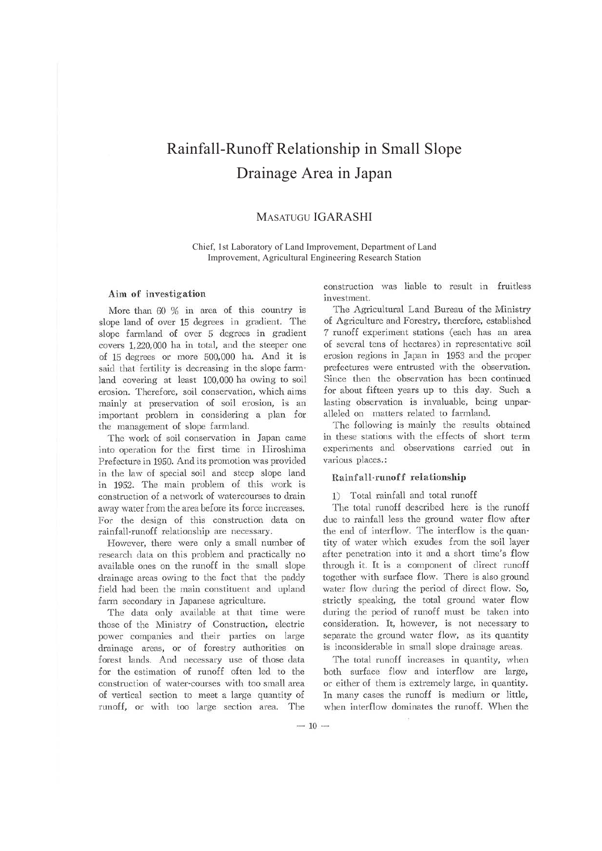# Rainfall-Runoff Relationship in Small Slope Drainage Area in Japan

# MASATUGU IGARASHI

Chief, 1st Laboratory of Land Improvement, Department of Land Improvement, Agricultural Engineering Research Station

### **Aim** of investigation

More than 60 % in area of this country is slope land of over 15 degrees in gradient. The slope farmland of over 5 degrees in gradient covers 1,220,000 ha in total, and the steeper one of 15 degrees or more 500,000 ha. And it is said that fertility is decreasing in the slope farmland covering at least 100,000 ha owing to soil erosion. Therefore, soil conservation, which aims mainly at preservation of soil erosion, is an important problem in considering a plan for the management of slope farmland.

The work of soil conservation in Japan came into operation for the first time in Hiroshima Prefecture in 1950. And its promotion was provided in the law of special soil and steep slope land in 1952. The main problem of this work is construction of a network of watercourses to drain away water from the area before its force increases. For the design of this construction data on rainfall-runoff relationship are necessary.

However, there were only a small number of research data on this problem and practically no available ones on the runoff in the small slope drainage areas owing to the fact that the paddy field had been the main constituent and upland farm secondary in Japanese agriculture.

The data only available at that time were those of the Ministry of Construction, electric power companies and their parties on large drainage areas, or of forestry authorities on forest lands. And necessary use of those data for the estimation of runoff often led to the construction of water-courses with too small area of vertical section to meet a large quantity of runoff, or with too large section area. The

construction was liable to result in fruitless investment.

The Agricultural Land Bureau of the Ministry of Agriculture and Forestry, therefore, established 7 runoff experiment stations (each has an area of several tens of hectares) in representative soil erosion regions in Japan in 1953 and the proper prefectures were entrusted with the observation. Since then the observation has been continued for about fifteen years up to this day. Such a lasting observation is invaluable, being unparalleled on matters related to farmland.

The following is mainly the results obtained in these stations with the effects of short term experiments and observations carried out in various places.:

### **Rainfall-runoff relationship**

1) Total rainfall and total runoff

The total runoff described here is the runoff due to rainfall less the ground water flow after the end of interflow. The interflow is the quantity of water which exudes from the soil layer after penetration into it and a short time's flow through it. It is a component of direct runoff together with surface flow. There is also ground water flow during the period of direct flow. So, strictly speaking, the total ground water flow during the period of runoff must be taken into consideration. It, however, is not necessary to separate the ground water flow, as its quantity is inconsiderable in small slope drainage areas.

The total runoff increases in quantity, when both surface flow and interflow are large, or either of them is extremely large, in quantity. In many cases the runoff is medium or little, when interflow dominates the runoff. When the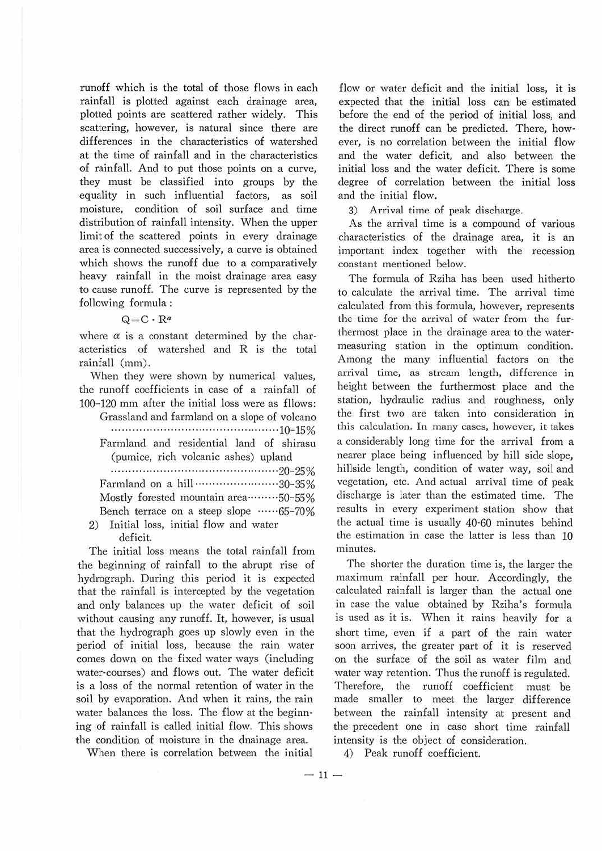runoff which is the total of those flows in each rainfall is plotted against each drainage area, plotted points are scattered rather widely. This scattering, however, is natural since there are differences in the characteristics of watershed at the time of rainfall and in the characteristics of rainfall. And to put those points on a curve, they must be classified into groups by the equality in such influential factors, as soil moisture, condition of soil surface and time distribution of rainfall intensity. When the upper limit of the scattered points in every drainage area is connected successively, a curve is obtained which shows the runoff due to a comparatively heavy rainfall in the moist drainage area easy to cause runoff. The curve is represented by the following formula :

## Q= C *· Ra*

where  $\alpha$  is a constant determined by the characteristics of watershed and R is the total rainfall (mm).

When they were shown by numerical values, the runoff coefficients in case of a rainfall of 100-120 mm after the initial loss were as fllows:

| Grassland and farmland on a slope of volcano  |
|-----------------------------------------------|
|                                               |
| Farmland and residential land of shirasu      |
| (pumice, rich volcanic ashes) upland          |
|                                               |
| Farmland on a hill 30-35%                     |
| Mostly forested mountain area ·········50-55% |
| Bench terrace on a steep slope 65-70%         |
| 2) Initial loss, initial flow and water       |

deficit.

The initial loss means the total rainfall from the beginning of rainfall to the abrupt rise of hydrograph. During this period it is expected that the rainfall is intercepted by the vegetation and only balances up the water deficit of soil without causing any runoff. It, however, is usual that the hydrograph goes up slowly even in the period of initial loss, because the rain water comes down on the fixed water ways (including water-courses) and flows out. The water deficit is a Joss of the normal retention of water in the soil by evaporation. And when it rains, the rain water balances the loss. The flow at the beginn· ing of rainfall is called initial flow. This shows the condition of moisture in the dnainage area.

When there is correlation between the initial

flow or water deficit and the initial loss, it is expected that the initial loss can be estimated before the end of the period of initial loss, and the direct runoff can be predicted. There, however, is no correlation between the initial flow and the water deficit, and also between the initial loss and the water deficit. There is some degree of correlation between the initial loss and the initial flow.

3) Arrival time of peak discharge.

As the arrival time is a compound of various characteristics of the drainage area, it is an important index together with the recession constant mentioned below.

The formula of Rziha has been used hitherto to calculate the arrival time. The arrival time calculated from this formula, however, represents the time for the arrival of water from the fur· thermost place in the drainage area to the water· measuring station in the optimum condition. Among the many influential factors on the arrival time, as stream length, difference in height between the furthermost place and the station, hydraulic radius and roughness, only the first two are taken into consideration in this calculation. In many cases, however, it takes a considerably long time for the arrival from a nearer place being influenced by hill side slope, hillside length, condition of water way, soil and vegetation, etc. And actual arrival time of peak discharge is later than the estimated time. The results in every experiment station show that the actual time is usually 40·60 minutes behind the estimation in case the latter is less than 10 minutes.

The shorter the duration time is, the larger the maximum rainfall per hour. Accordingly, the calculated rainfall is larger than the actual one in case the value obtained by Rziha's formula is used as it is. When it rains heavily for a short time, even if a part of the rain water soon arrives, the greater part of it is reserved on the surface of the soil as water film and water way retention. Thus the runoff is regulated. Therefore, the runoff coefficient must be made smaller to meet the larger difference between the rainfall intensity at present and the precedent one in case short time rainfall intensity is the object of consideration.

4) Peak runoff coefficient.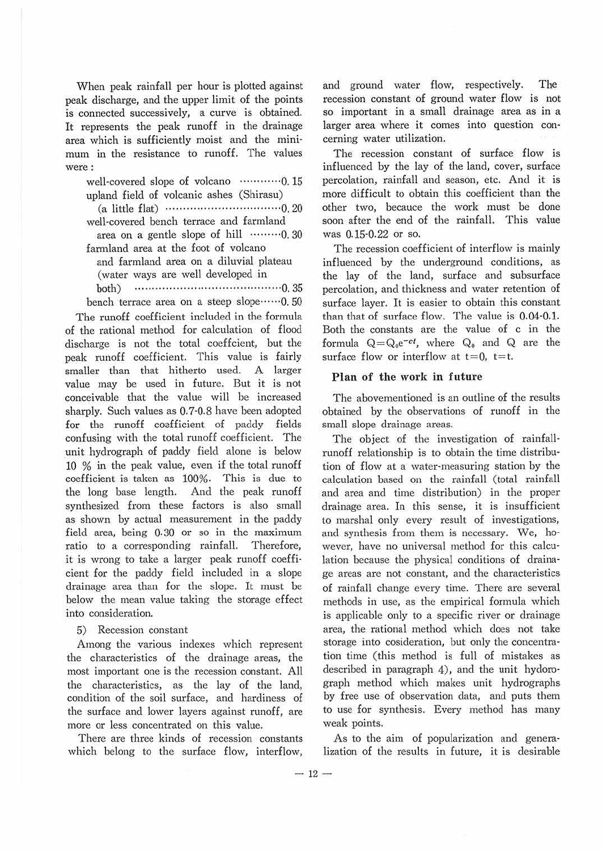When peak rainfall per hour is plotted against peak discharge, and the upper limit of the points is connected successively, a curve is obtained. It represents the peak runoff in the drainage area which is sufficiently moist and the mini· mum in the resistance to runoff. The values were:

well-covered slope of volcano .............. 0.15 upland field of volcanic ashes (Shirasu)

(a little flat)  $\cdots$   $\cdots$   $\cdots$   $\cdots$   $\cdots$   $\cdots$   $\cdots$   $\cdots$   $\cdots$   $\cdots$   $\cdots$   $\cdots$   $\cdots$   $\cdots$   $\cdots$   $\cdots$   $\cdots$   $\cdots$   $\cdots$   $\cdots$   $\cdots$   $\cdots$   $\cdots$   $\cdots$   $\cdots$   $\cdots$   $\cdots$   $\cdots$   $\cdots$   $\cdots$   $\cdots$   $\cdots$   $\cdots$   $\cdots$  well-covered bench terrace and farmland

area on a gentle slope of hill  $\cdots$  $\cdots$  $\cdots$ 0.30 farmland area at the foot of volcano

and farmland area on a diluvial plateau ( water ways are well developed in

both) ..................... ... .................. 0. 35

bench terrace area on a steep slope ······· 0.50 The runoff coefficient included in the formula of the rational method for calculation of flood discharge is not the total coeffcient, but the peak runoff coefficient. This value is fairly smaller than that hitherto used. A larger value may be used in future. But it is not conceivable that the value will be increased sharply. Such values as 0.7·0.8 have been adopted for the runoff coafficient of paddy fields confusing with the total runoff coefficient. The unit hydrograph of paddy field alone is below 10 % in the peak value, even if the total runoff coefficient is taken as 100%. This is due to the long base length. And the peak runoff synthesized from these factors is also small as shown by actual measurement in the paddy field area, being 0.30 or so in the maximum ratio to a corresponding rainfall. Therefore, it is wrong to take a larger peak runoff coeffi· cient for the paddy field included in a slope drainage area than for the slope. It must be below the mean value taking the storage effect into consideration.

#### 5) Recession constant

Among the various indexes which represent the characteristics of the drainage areas, the most important one is the recession constant. All the characteristics, as the lay of the land, condition of the soil surface, and hardiness of the surface and lower layers against runoff, are more or less concentrated on this value.

There are three kinds of recession constants which belong to the surface flow, interflow, and ground water flow, respectively. The recession constant of ground water flow is not so important in a small drainage area as in a larger area where it comes into question concerning water utilization.

The recession constant of surface flow is influenced by the lay of the land, cover, surface percolation, rainfall and season, etc. And it is more difficult to obtain this coefficient than the other two, becauce the work must be done soon after the end of the rainfall. This value was 0.15·0.22 or so.

The recession coefficient of interflow is mainly influenced by the underground conditions, as the lay of the land, surface and subsurface percolation, and thickness and water retention of surface layer. It is easier to obtain this constant than that of surface flow. The value is 0.04·0.1. Both the constants are the value of c in the formula  $Q = Q_0 e^{-ct}$ , where  $Q_0$  and  $Q$  are the surface flow or interflow at  $t = 0$ ,  $t = t$ .

#### **Plan of the work in future**

The abovementioned is an outline of the results obtained by the observations of runoff in the small slope drainage areas.

The object of the investigation of rainfall· runoff relationship is to obtain the time distribu· tion of flow at a water-measuring station by the calculation based on the rainfall (total rainfall and area and time distribution) in the proper drainage area. In this sense, it is insufficient to marshal only every result of investigations, and synthesis from them is necessary. We, ho· wever, have no universal method for this calcu· lation because the physical conditions of draina· ge areas are not constant, and the characteristics of rainfall change every time. There are several methods in use, as the empirical formula which is applicable only to a specific river or drainage area, the rational method which does not take storage into cosideration, but only the concentra· tion time (this method is full of mistakes as described in paragraph 4), and the unit hydoro· graph method which makes unit hydrographs by free use of observation data, and puts them to use for synthesis. Every method has many weak points.

As to the aim of popularization and genera· lization of the results in future, it is desirable